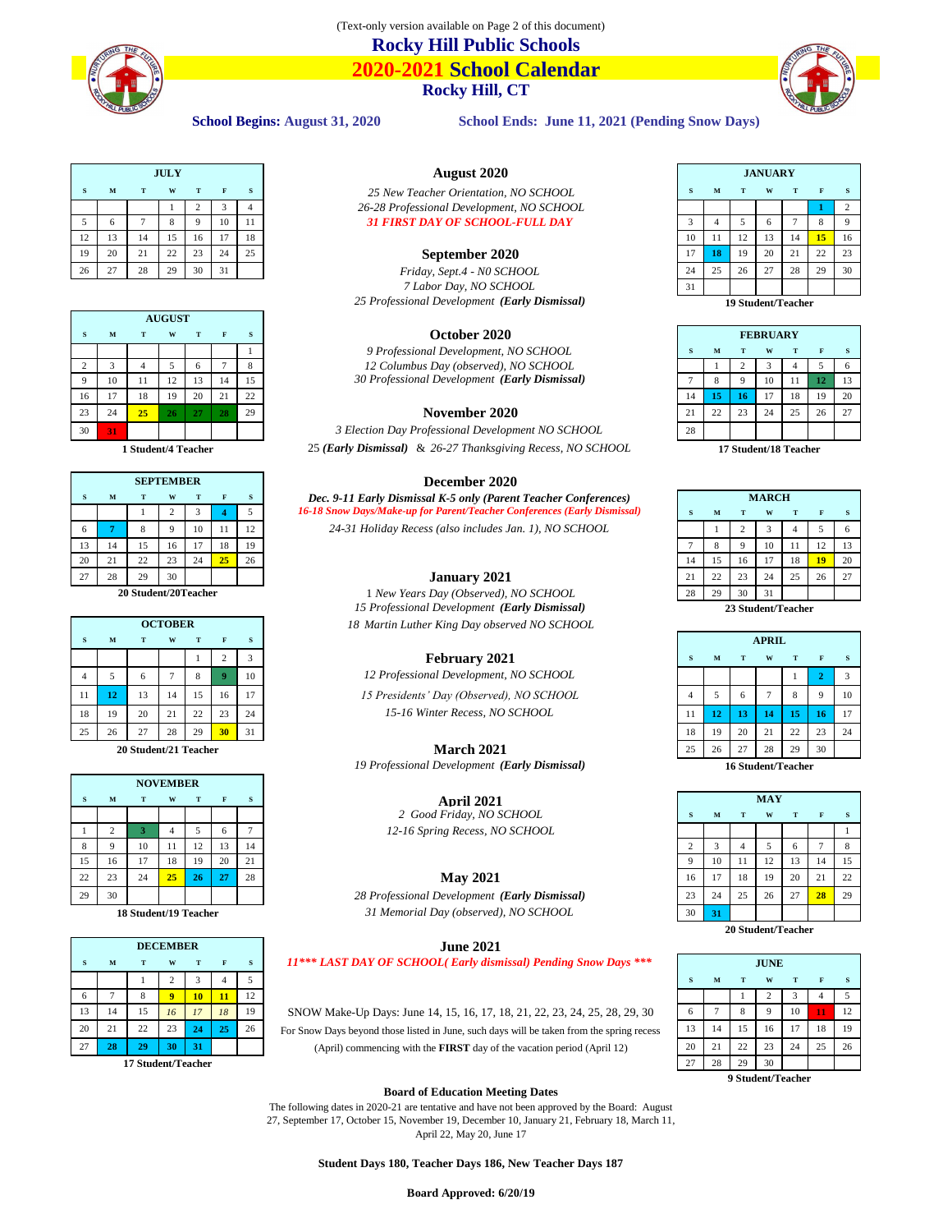

**2020-2021 School Calendar Rocky Hill, CT**



School Begins: August 31, 2020 School Ends: June 11, 2021 (Pending Snow Days)

|    |    |    | <b>JULY</b> |          |    |     |
|----|----|----|-------------|----------|----|-----|
|    | M  |    | W           |          |    |     |
|    |    |    |             |          |    |     |
|    |    |    |             | $\Omega$ | 10 |     |
|    | 13 |    |             | 16       |    | -18 |
| 19 | 20 | 21 | 22          | 23       | 24 | 25  |
| 26 |    | 28 | 29          | 30       |    |     |

|    |    |    | <b>AUGUST</b> |    |    |    |                                                   |             |    |    |                 |    |    |     |
|----|----|----|---------------|----|----|----|---------------------------------------------------|-------------|----|----|-----------------|----|----|-----|
|    |    |    | W             |    |    |    | October 2020                                      |             |    |    | <b>FEBRUARY</b> |    |    |     |
|    |    |    |               |    |    |    | 9 Professional Development, NO SCHOOL             |             | м  |    | w               |    |    |     |
|    |    |    |               |    |    |    | 12 Columbus Day (observed), NO SCHOOL             |             |    |    |                 |    |    |     |
|    | 10 |    |               |    |    | 15 | 30 Professional Development (Early Dismissal)     |             |    |    | 10              |    |    |     |
| 16 |    | 18 | 19            | 20 | 21 | 22 |                                                   |             |    | 16 |                 | 18 | 19 | -20 |
| 23 | 24 | 25 | $26^{\circ}$  | 27 | 28 | 29 | November 2020                                     | $^{\sim}$ 1 | 22 | 23 | 24              | 25 | 26 | 27  |
| 30 | 31 |    |               |    |    |    | 3 Election Day Professional Development NO SCHOOL | 28          |    |    |                 |    |    |     |

|    |    | <b>SEPTEMBER</b> |    |     | <b>December 2020</b>                                                     |              |    |    |              |    |                 |     |
|----|----|------------------|----|-----|--------------------------------------------------------------------------|--------------|----|----|--------------|----|-----------------|-----|
|    | м  | W                |    |     | Dec. 9-11 Early Dismissal K-5 only (Parent Teacher Conferences)          |              |    |    | <b>MARCH</b> |    |                 |     |
|    |    |                  |    |     | 16-18 Snow Days/Make-up for Parent/Teacher Conferences (Early Dismissal) |              | м  |    | w            |    |                 |     |
|    |    |                  | 10 | -12 | 24-31 Holiday Recess (also includes Jan. 1), NO SCHOOL                   |              |    |    |              |    |                 |     |
|    | 14 | 16.              |    | -19 |                                                                          |              |    |    | 10           |    |                 |     |
| 20 | 21 |                  | 24 | 26  |                                                                          |              |    | 16 |              | 18 | 10 <sub>1</sub> | 2(  |
|    | 28 | 30               |    |     | <b>January 2021</b>                                                      | $^{\circ}$ 1 | 22 | 23 | 24           | 25 | 26              | -27 |

|    |    |    |                |    |                 |      | 10 Troposofonan Development ( <b>Darry Dismission</b> ) |    |    | 23 buuutiit Feacher |              |        |    |     |
|----|----|----|----------------|----|-----------------|------|---------------------------------------------------------|----|----|---------------------|--------------|--------|----|-----|
|    |    |    | <b>OCTOBER</b> |    |                 |      | 18 Martin Luther King Day observed NO SCHOOL            |    |    |                     |              |        |    |     |
|    | м  |    | W              |    |                 |      |                                                         |    |    |                     | <b>APRIL</b> |        |    |     |
|    |    |    |                |    |                 |      | <b>February 2021</b>                                    |    | M  |                     | W            |        |    |     |
|    |    |    |                |    |                 | -10  | 12 Professional Development, NO SCHOOL                  |    |    |                     |              |        |    |     |
|    |    | l3 | 14             | 15 | -16             | 17   | 15 Presidents' Day (Observed), NO SCHOOL                |    |    | $\sigma$            |              | 8      |    | -10 |
| 18 | 19 | 20 |                | 22 | -23             | 24   | 15-16 Winter Recess, NO SCHOOL                          |    |    |                     | 14           | 15     | 16 | -17 |
|    | 26 |    | 28             | 29 | 30 <sup>1</sup> | - 31 |                                                         | 18 | 19 | 20                  | 21           | $\cap$ | 23 | -24 |

|    |    |    |                 |    |    |          | $\overline{\phantom{a}}$                      |    |    |    |            |    |                 |  |
|----|----|----|-----------------|----|----|----------|-----------------------------------------------|----|----|----|------------|----|-----------------|--|
|    |    |    | <b>NOVEMBER</b> |    |    |          |                                               |    |    |    |            |    |                 |  |
|    | M  |    | W               |    |    | <b>S</b> | <b>April 2021</b>                             |    |    |    | <b>MAY</b> |    |                 |  |
|    |    |    |                 |    |    |          | 2 Good Friday, NO SCHOOL                      |    | М  |    | W          |    |                 |  |
|    |    |    |                 |    |    |          | 12-16 Spring Recess, NO SCHOOL                |    |    |    |            |    |                 |  |
|    |    | 10 | 11              | 12 | 13 | 14       |                                               |    |    |    |            | n  |                 |  |
|    | 16 |    | 18              | 19 | 20 | 21       |                                               |    | 10 |    | 12         |    | 14              |  |
| 22 | 23 | 24 | 25 <sub>2</sub> | 26 | 27 | 28       | <b>May 2021</b>                               | 16 | 17 | 18 | 19         | 20 | 21              |  |
| 29 | 30 |    |                 |    |    |          | 28 Professional Development (Early Dismissal) | 23 | 24 | 25 | 26         | 27 | 28 <sup>7</sup> |  |
|    |    |    |                 |    |    |          |                                               |    |    |    |            |    |                 |  |

|    |    |    | <b>DECEMBER</b> |           |    |     | <b>June 2021</b>                                                                          |    |    |             |    |    |  |
|----|----|----|-----------------|-----------|----|-----|-------------------------------------------------------------------------------------------|----|----|-------------|----|----|--|
|    | M  |    | W               |           |    |     | 11*** LAST DAY OF SCHOOL(Early dismissal) Pending Snow Days ***                           |    |    | <b>JUNE</b> |    |    |  |
|    |    |    |                 |           |    |     |                                                                                           |    |    |             |    |    |  |
|    |    |    |                 |           |    |     |                                                                                           |    |    |             |    |    |  |
|    | 14 | 15 | 16              | <i>17</i> | 18 | 19  | SNOW Make-Up Days: June 14, 15, 16, 17, 18, 21, 22, 23, 24, 25, 28, 29, 30                | 6  |    |             | 10 |    |  |
| 20 | 21 |    | 23              |           |    | -26 | For Snow Days beyond those listed in June, such days will be taken from the spring recess |    |    | 16          |    | 18 |  |
|    | 28 |    |                 | 31        |    |     | (April) commencing with the <b>FIRST</b> day of the vacation period (April 12)            | 20 | 21 | 23          | 24 | 25 |  |

*Friday, Sept.4 - NO SCHOOL* 24 25 26 27 28 29 30 *7 Labor Day, NO SCHOOL* 31 *25 Professional Development (Early Dismissal)* **19 Student/Teacher**

# **October 2020**

## **November 2020**

30 **31** *3 Election Day Professional Development NO SCHOOL* 28 **1 Student/4 Teacher** 25 *(Early Dismissal)* & *26-27 Thanksgiving Recess, NO SCHOOL* **17 Student/18 Teacher**

## **December 2020**

## **January 2021**

**20 Student/20Teacher** 1 *New Years Day (Observed), NO SCHOOL 15 Professional Development (Early Dismissal)* **23 Student/Teacher OCTOBER** *18 Martin Luther King Day observed NO SCHOOL*

# $February 2021$

*19 Professional Development (Early Dismissal)* **16 Student/Teacher**

28 Professional Development (Early Dismissal) **18 Student/19 Teacher 18 Student/19 Teacher 31 Memorial Day (observed), NO SCHOOL** 

# **June 2021**

| tudent/Teacher |  |
|----------------|--|
|                |  |

# **Board of Education Meeting Dates**

The following dates in 2020-21 are tentative and have not been approved by the Board: August 27, September 17, October 15, November 19, December 10, January 21, February 18, March 11, April 22, May 20, June 17

**Student Days 180, Teacher Days 186, New Teacher Days 187**



| <b>FEBRUARY</b> |    |                |    |    |    |    |  |  |  |
|-----------------|----|----------------|----|----|----|----|--|--|--|
| S               | M  | T              | W  | T  | F  | S  |  |  |  |
|                 |    | $\overline{2}$ | 3  |    | 5  | 6  |  |  |  |
| 7               | 8  | 9              | 10 | 11 | 12 | 13 |  |  |  |
| 14              | 15 | 16             | 17 | 18 | 19 | 20 |  |  |  |
| 21              | 22 | 23             | 24 | 25 | 26 | 27 |  |  |  |
| 28              |    |                |    |    |    |    |  |  |  |
|                 |    |                |    |    |    |    |  |  |  |

|                |    |                | <b>MARCH</b> |    |    |    |
|----------------|----|----------------|--------------|----|----|----|
| S              | M  | T              | W            | T  | F  | S  |
|                |    | $\overline{c}$ | 3            | 4  | 5  | 6  |
| $\overline{7}$ | 8  | 9              | 10           | 11 | 12 | 13 |
| 14             | 15 | 16             | 17           | 18 | 19 | 20 |
| 21             | 22 | 23             | 24           | 25 | 26 | 27 |
| 28             | 29 | 30             | 31           |    |    |    |

|                       | W  |    |                 | s   |                                              |    |                 |    | <b>APRIL</b>                                                        |     |          |    |
|-----------------------|----|----|-----------------|-----|----------------------------------------------|----|-----------------|----|---------------------------------------------------------------------|-----|----------|----|
|                       |    |    |                 |     | <b>February 2021</b>                         |    | M               |    | W                                                                   |     |          |    |
| O                     |    | Ô. |                 | -10 | 12 Professional Development, NO SCHOOL       |    |                 |    |                                                                     |     |          |    |
| 13                    | 14 | 15 | 16              | -17 | 15 Presidents' Day (Observed), NO SCHOOL     |    |                 |    |                                                                     | 8   | $\alpha$ | 10 |
| 20                    | 21 | 22 | 23              | 24  | 15-16 Winter Recess, NO SCHOOL               | 11 | 12 <sup>1</sup> |    |                                                                     | 15  | -16      |    |
| 27                    | 28 | 29 | 30 <sup>2</sup> | -31 |                                              | 18 | 19              | 20 | 21                                                                  | 22  | -23      | 24 |
| 20 Student/21 Teacher |    |    |                 |     | <b>March 2021</b>                            | 25 | 26              | 27 | 28                                                                  | 29  | 30       |    |
|                       |    |    |                 |     | $10 \text{ R} \cdot \text{C} \cdot \text{C}$ |    |                 |    | $\mathcal{A} \times \mathcal{C}$ , $\mathcal{A} \times \mathcal{C}$ | . . |          |    |

|                                              |                                  |   | <b>MAY</b> |   |   |   |  |  |  |  |
|----------------------------------------------|----------------------------------|---|------------|---|---|---|--|--|--|--|
| S                                            | M                                | T | W          | T | F | S |  |  |  |  |
|                                              |                                  |   |            |   |   |   |  |  |  |  |
| 3<br>$\overline{2}$<br>5<br>8<br>6<br>7<br>4 |                                  |   |            |   |   |   |  |  |  |  |
| 12<br>15<br>10<br>13<br>9<br>11<br>14        |                                  |   |            |   |   |   |  |  |  |  |
| 16                                           | 20<br>17<br>18<br>19<br>22<br>21 |   |            |   |   |   |  |  |  |  |
| 23                                           | 26<br>24<br>25<br>29<br>27<br>28 |   |            |   |   |   |  |  |  |  |
| 30                                           | 31                               |   |            |   |   |   |  |  |  |  |
|                                              | <b>20 Student/Teacher</b>        |   |            |   |   |   |  |  |  |  |

|                    |    |    |    |    | 11*** LAST DAY OF SCHOOL(Early dismissal) Pending Snow Days ***                           |    |    |    | <b>JUNE</b> |    |    |    |
|--------------------|----|----|----|----|-------------------------------------------------------------------------------------------|----|----|----|-------------|----|----|----|
|                    |    |    |    |    |                                                                                           |    | M  |    | W.          |    |    |    |
|                    |    | 10 | 11 |    |                                                                                           |    |    |    |             |    |    |    |
|                    | 16 | 17 | 18 | 19 | SNOW Make-Up Days: June 14, 15, 16, 17, 18, 21, 22, 23, 24, 25, 28, 29, 30                |    |    |    |             | 10 |    | 12 |
|                    |    | 24 |    | 26 | For Snow Days beyond those listed in June, such days will be taken from the spring recess |    |    |    | 16          |    | 18 | 19 |
| 29                 | 30 | 31 |    |    | (April) commencing with the <b>FIRST</b> day of the vacation period (April 12)            | 20 | 21 | 22 | 23          | 24 |    | 26 |
| 17 Student/Teacher |    |    |    |    |                                                                                           |    | 28 | 29 | 30          |    |    |    |
|                    |    |    |    |    |                                                                                           |    |    |    | ____        |    |    |    |

## **9 Student/Teacher**

**Board Approved: 6/20/19**